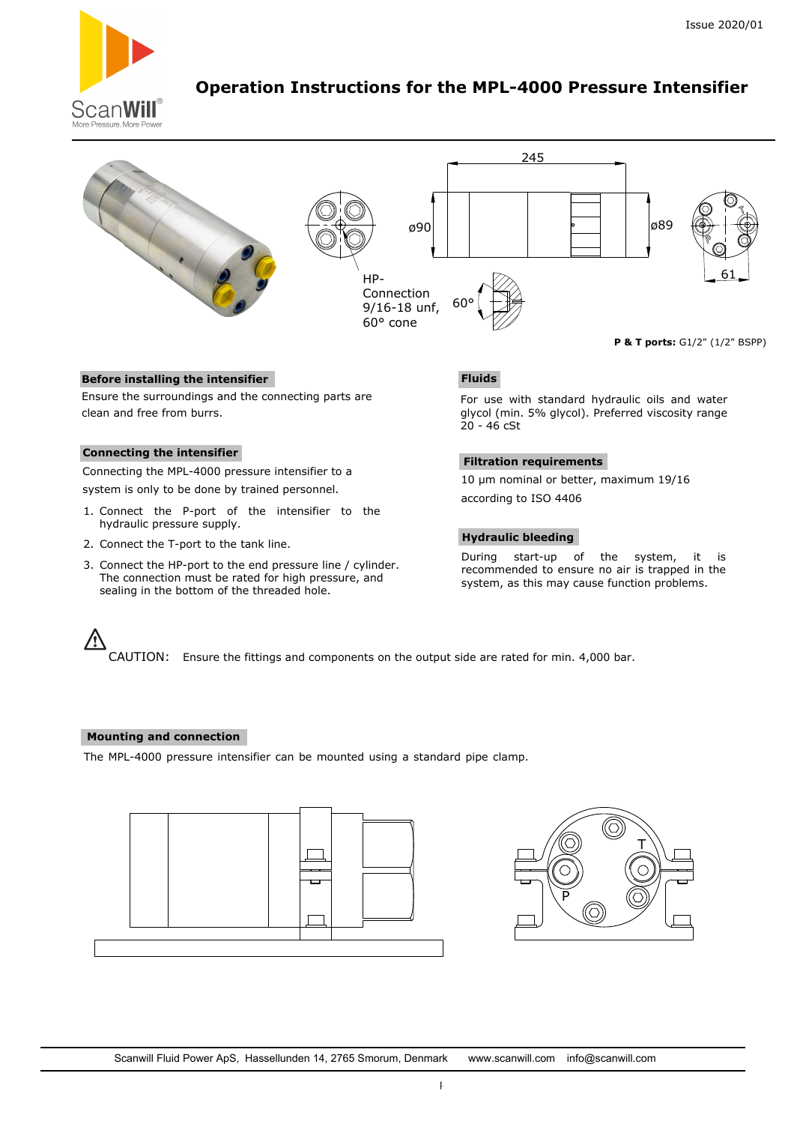

# **Operation Instructions for the MPL-4000 Pressure Intensifier**



## **Before installing the intensifier**

Ensure the surroundings and the connecting parts are clean and free from burrs.

### **Connecting the intensifier**

Connecting the MPL-4000 pressure intensifier to a system is only to be done by trained personnel.

- 1. Connect the P-port of the intensifier to the hydraulic pressure supply.
- 2. Connect the T-port to the tank line.
- 3. Connect the HP-port to the end pressure line / cylinder. The connection must be rated for high pressure, and sealing in the bottom of the threaded hole.

# **Fluids**

For use with standard hydraulic oils and water glycol (min. 5% glycol). Preferred viscosity range 20 - 46 cSt

## **Filtration requirements**

10 µm nominal or better, maximum 19/16 according to ISO 4406

### **Hydraulic bleeding**

During start-up of the system, it is recommended to ensure no air is trapped in the system, as this may cause function problems.

/<u>\</u> CAUTION: Ensure the fittings and components on the output side are rated for min. 4,000 bar.

#### **Mounting and connection**

The MPL-4000 pressure intensifier can be mounted using a standard pipe clamp.